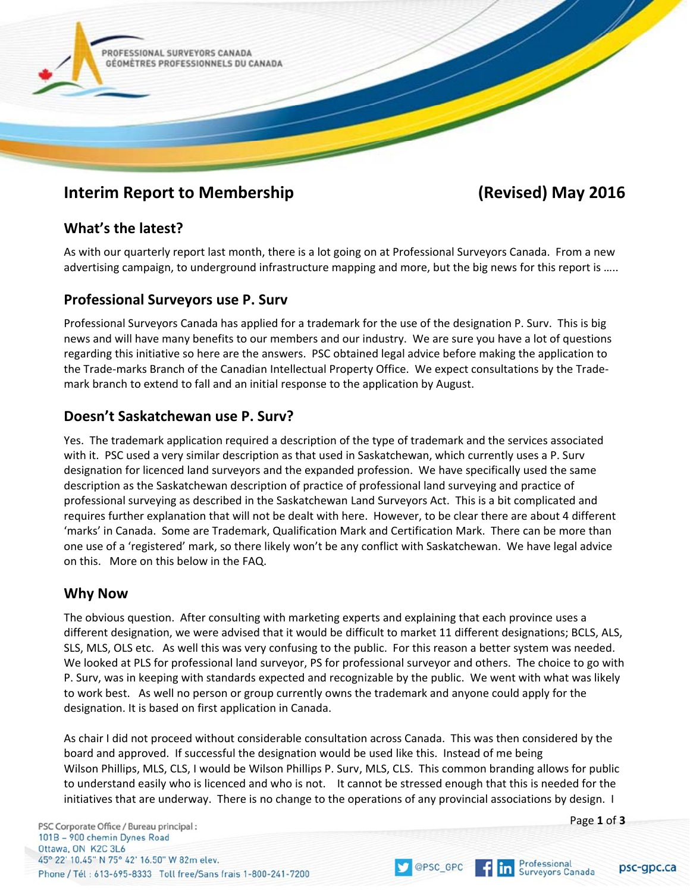

# **Interim Report to Membership (Revised) May 2016**

## **What's the latest?**

As with our quarterly report last month, there is a lot going on at Professional Surveyors Canada. From a new advertising campaign, to underground infrastructure mapping and more, but the big news for this report is …..

## **Professional Surveyors use P. Surv**

Professional Surveyors Canada has applied for a trademark for the use of the designation P. Surv. This is big news and will have many benefits to our members and our industry. We are sure you have a lot of questions regarding this initiative so here are the answers. PSC obtained legal advice before making the application to the Trade-marks Branch of the Canadian Intellectual Property Office. We expect consultations by the Trademark branch to extend to fall and an initial response to the application by August.

## **Doesn't Saskatchewan use P. Surv?**

Yes. The trademark application required a description of the type of trademark and the services associated with it. PSC used a very similar description as that used in Saskatchewan, which currently uses a P. Surv designation for licenced land surveyors and the expanded profession. We have specifically used the same description as the Saskatchewan description of practice of professional land surveying and practice of professional surveying as described in the Saskatchewan Land Surveyors Act. This is a bit complicated and requires further explanation that will not be dealt with here. However, to be clear there are about 4 different 'marks' in Canada. Some are Trademark, Qualification Mark and Certification Mark. There can be more than one use of a 'registered' mark, so there likely won't be any conflict with Saskatchewan. We have legal advice on this. More on this below in the FAQ.

## **Why Now**

The obvious question. After consulting with marketing experts and explaining that each province uses a different designation, we were advised that it would be difficult to market 11 different designations; BCLS, ALS, SLS, MLS, OLS etc. As well this was very confusing to the public. For this reason a better system was needed. We looked at PLS for professional land surveyor, PS for professional surveyor and others. The choice to go with P. Surv, was in keeping with standards expected and recognizable by the public. We went with what was likely to work best. As well no person or group currently owns the trademark and anyone could apply for the designation. It is based on first application in Canada.

As chair I did not proceed without considerable consultation across Canada. This was then considered by the board and approved. If successful the designation would be used like this. Instead of me being Wilson Phillips, MLS, CLS, I would be Wilson Phillips P. Surv, MLS, CLS. This common branding allows for public to understand easily who is licenced and who is not. It cannot be stressed enough that this is needed for the initiatives that are underway. There is no change to the operations of any provincial associations by design. I

PSC Corporate Office / Bureau principal: 101B - 900 chemin Dynes Road Ottawa, ON K2C 3L6 45° 22' 10.45" N 75° 42' 16.50" W 82m elev. Phone / Tél: 613-695-8333 Toll free/Sans frais 1-800-241-7200 Page **1** of **3**

psc-gpc.ca



@PSC\_GPC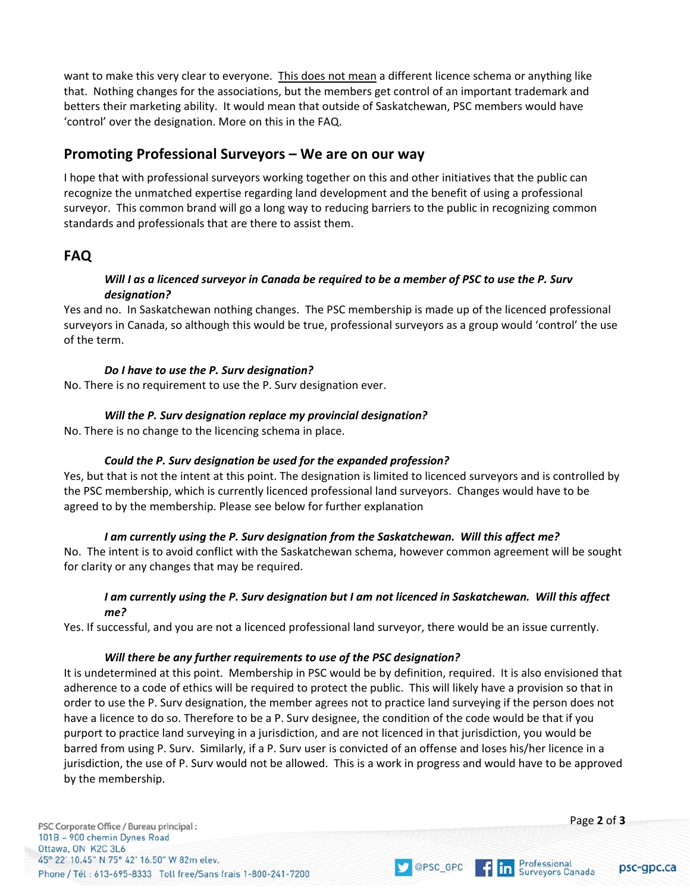want to make this very clear to everyone. This does not mean a different licence schema or anything like that. Nothing changes for the associations, but the members get control of an important trademark and betters their marketing ability. It would mean that outside of Saskatchewan, PSC members would have 'control' over the designation. More on this in the FAQ.

## **Promoting Professional Surveyors – We are on our way**

I hope that with professional surveyors working together on this and other initiatives that the public can recognize the unmatched expertise regarding land development and the benefit of using a professional surveyor. This common brand will go a long way to reducing barriers to the public in recognizing common standards and professionals that are there to assist them.

## **FAQ**

#### *Will I as a licenced surveyor in Canada be required to be a member of PSC to use the P. Surv designation?*

Yes and no. In Saskatchewan nothing changes. The PSC membership is made up of the licenced professional surveyors in Canada, so although this would be true, professional surveyors as a group would 'control' the use of the term.

#### *Do I have to use the P. Surv designation?*

No. There is no requirement to use the P. Surv designation ever.

### *Will the P. Surv designation replace my provincial designation?*

No. There is no change to the licencing schema in place.

### *Could the P. Surv designation be used for the expanded profession?*

Yes, but that is not the intent at this point. The designation is limited to licenced surveyors and is controlled by the PSC membership, which is currently licenced professional land surveyors. Changes would have to be agreed to by the membership. Please see below for further explanation

### *I am currently using the P. Surv designation from the Saskatchewan. Will this affect me?*

No. The intent is to avoid conflict with the Saskatchewan schema, however common agreement will be sought for clarity or any changes that may be required.

#### *I am currently using the P. Surv designation but I am not licenced in Saskatchewan. Will this affect me?*

Yes. If successful, and you are not a licenced professional land surveyor, there would be an issue currently.

#### *Will there be any further requirements to use of the PSC designation?*

It is undetermined at this point. Membership in PSC would be by definition, required. It is also envisioned that adherence to a code of ethics will be required to protect the public. This will likely have a provision so that in order to use the P. Surv designation, the member agrees not to practice land surveying if the person does not have a licence to do so. Therefore to be a P. Surv designee, the condition of the code would be that if you purport to practice land surveying in a jurisdiction, and are not licenced in that jurisdiction, you would be barred from using P. Surv. Similarly, if a P. Surv user is convicted of an offense and loses his/her licence in a jurisdiction, the use of P. Surv would not be allowed. This is a work in progress and would have to be approved by the membership.

OPSC\_GPC

 $\n *flin*\n$ 

PSC Corporate Office / Bureau principal : 101B - 900 chemin Dynes Road Ottawa, ON K2C 3L6 45° 22' 10.45" N 75° 42' 16.50" W 82m elev. Phone / Tél: 613-695-8333 Toll free/Sans frais 1-800-241-7200 Page **2** of **3**